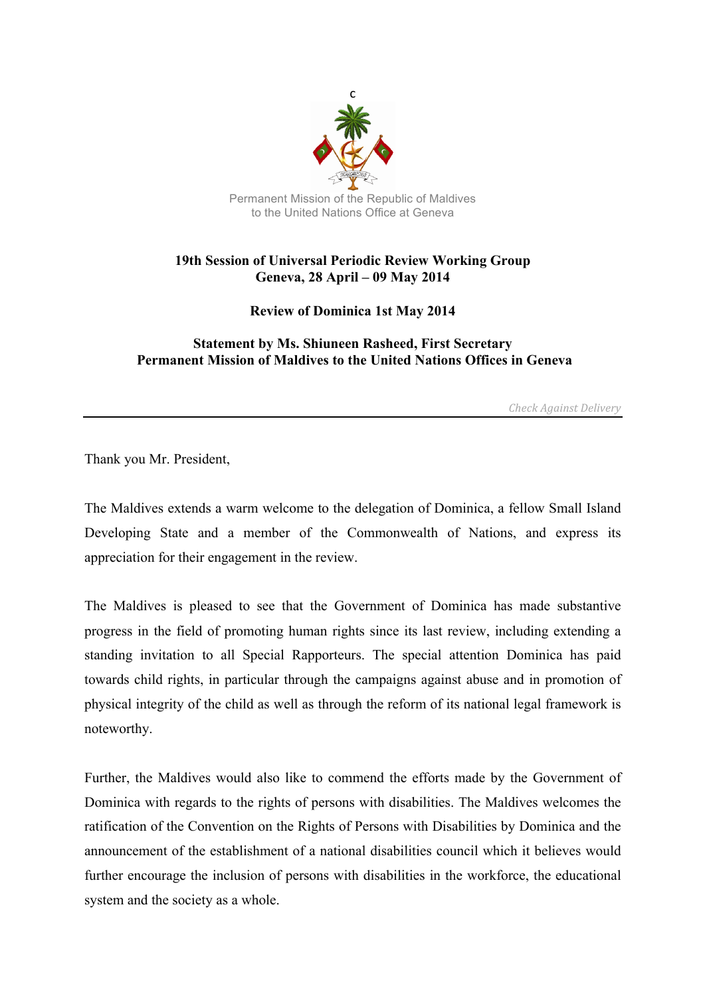

## **19th Session of Universal Periodic Review Working Group Geneva, 28 April – 09 May 2014**

**Review of Dominica 1st May 2014**

## **Statement by Ms. Shiuneen Rasheed, First Secretary Permanent Mission of Maldives to the United Nations Offices in Geneva**

*Check Against Delivery*

Thank you Mr. President,

The Maldives extends a warm welcome to the delegation of Dominica, a fellow Small Island Developing State and a member of the Commonwealth of Nations, and express its appreciation for their engagement in the review.

The Maldives is pleased to see that the Government of Dominica has made substantive progress in the field of promoting human rights since its last review, including extending a standing invitation to all Special Rapporteurs. The special attention Dominica has paid towards child rights, in particular through the campaigns against abuse and in promotion of physical integrity of the child as well as through the reform of its national legal framework is noteworthy.

Further, the Maldives would also like to commend the efforts made by the Government of Dominica with regards to the rights of persons with disabilities. The Maldives welcomes the ratification of the Convention on the Rights of Persons with Disabilities by Dominica and the announcement of the establishment of a national disabilities council which it believes would further encourage the inclusion of persons with disabilities in the workforce, the educational system and the society as a whole.